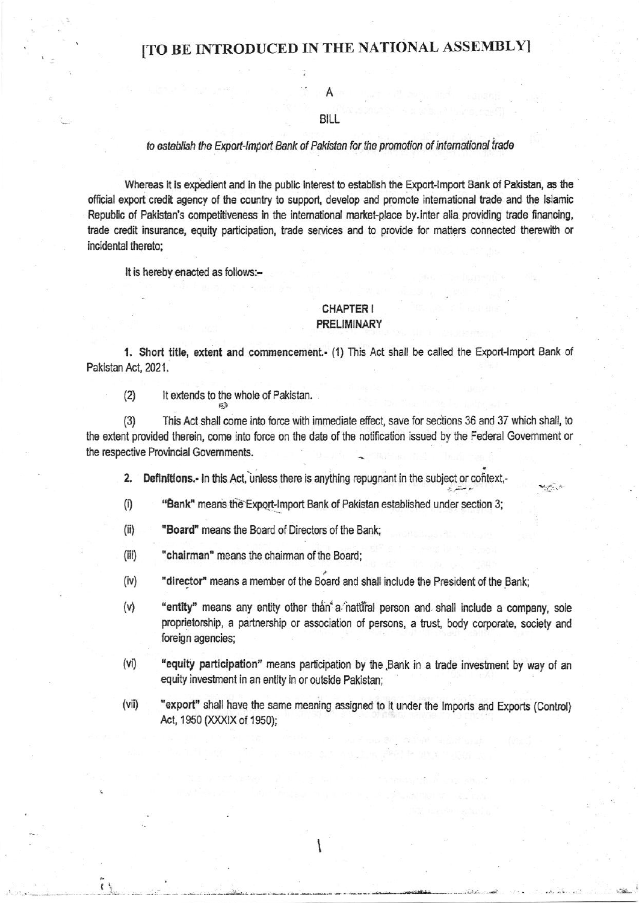A

# BILL

### to establish the Export-Import Bank of Pakistan for the promotion of international trade

Whereas it is expedient and in the public interest to establish the Export-Import Bank of Pakistan, as the official export credit agency of the country to support, develop and promote international trade and the Islamic Republic of Pakistan's competitiveness in the international market-place by inter alia providing trade financing, trade credit insurance, equity participation, trade services and to provide for matters connected therewith or incidental thereto:

It is hereby enacted as follows:-

## CHAPTER I **PRELIMINARY**

1. Short title, extent and commencement.- (1) This Act shall be called the Export-Import Bank of Pakistan Act, 2021.

 $(2)$ It extends to the whole of Pakistan.

This Act shall come into force with immediate effect, save for sections 36 and 37 which shall, to  $(3)$ the extent provided therein, come into force on the date of the notification issued by the Federal Government or the respective Provincial Governments.

Definitions.- In this Act, unless there is anything repugnant in the subject or context,- $2.$ 

- $(i)$ "Bank" means the Export-Import Bank of Pakistan established under section 3;
- $(ii)$ "Board" means the Board of Directors of the Bank:
- $(iii)$ "chairman" means the chairman of the Board;

 $\mathfrak{g}$ 

- $(iv)$ "director" means a member of the Board and shall include the President of the Bank;
- $(v)$ "entity" means any entity other than a natural person and shall include a company, sole proprietorship, a partnership or association of persons, a trust, body corporate, society and foreign agencies;
- $(vi)$ "equity participation" means participation by the Bank in a trade investment by way of an equity investment in an entity in or outside Pakistan;
- $(vii)$ "export" shall have the same meaning assigned to it under the Imports and Exports (Control) Act, 1950 (XXXIX of 1950);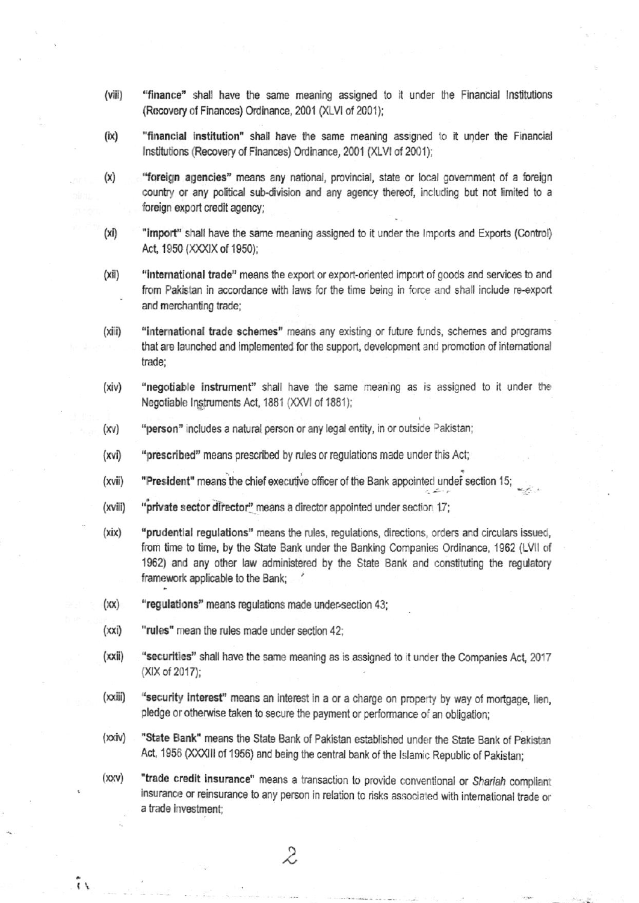- $(viii)$ "finance" shall have the same meaning assigned to it under the Financial Institutions (Recovery of Finances) Ordinance, 2001 (XLVI of 2001);
- $(ix)$ "financial institution" shall have the same meaning assigned to it under the Financial Institutions (Recovery of Finances) Ordinance, 2001 (XLVI of 2001);
- "foreign agencies" means any national, provincial, state or local government of a foreign  $(x)$ country or any political sub-division and any agency thereof, including but not limited to a foreign export credit agency;
- $(xi)$ "import" shall have the same meaning assigned to it under the Imports and Exports (Control) Act, 1950 (XXXIX of 1950);
- $(xii)$ "international trade" means the export or export-oriented import of goods and services to and from Pakistan in accordance with laws for the time being in force and shall include re-export and merchanting trade;
- $(xiii)$ "international trade schemes" means any existing or future funds, schemes and programs that are launched and implemented for the support, development and promotion of international trade:
- $(xiv)$ "negotiable instrument" shall have the same meaning as is assigned to it under the Negotiable Instruments Act, 1881 (XXVI of 1881);
- $(xv)$ "person" includes a natural person or any legal entity, in or outside Pakistan;
- "prescribed" means prescribed by rules or regulations made under this Act;  $(xvi)$
- (xvii) "President" means the chief executive officer of the Bank appointed under section 15;
- (xviii) "private sector director" means a director appointed under section 17;
- $(xix)$ "prudential regulations" means the rules, regulations, directions, orders and circulars issued, from time to time, by the State Bank under the Banking Companies Ordinance, 1962 (LVII of 1962) and any other law administered by the State Bank and constituting the regulatory framework applicable to the Bank:
- "regulations" means regulations made under-section 43;  $(xx)$
- "rules" mean the rules made under section 42:  $(xxi)$

 $\tilde{\mathfrak{c}}$ 

- $(xxii)$ "securities" shall have the same meaning as is assigned to it under the Companies Act, 2017 (XIX of 2017);
- $(xxiii)$ "security interest" means an interest in a or a charge on property by way of mortgage, lien, pledge or otherwise taken to secure the payment or performance of an obligation;
- $(xxi)$ "State Bank" means the State Bank of Pakistan established under the State Bank of Pakistan Act, 1956 (XXXIII of 1956) and being the central bank of the Islamic Republic of Pakistan;
- $(xxy)$ "trade credit insurance" means a transaction to provide conventional or Shariah compliant insurance or reinsurance to any person in relation to risks associated with international trade or a trade investment;

 $\mathcal{Z}$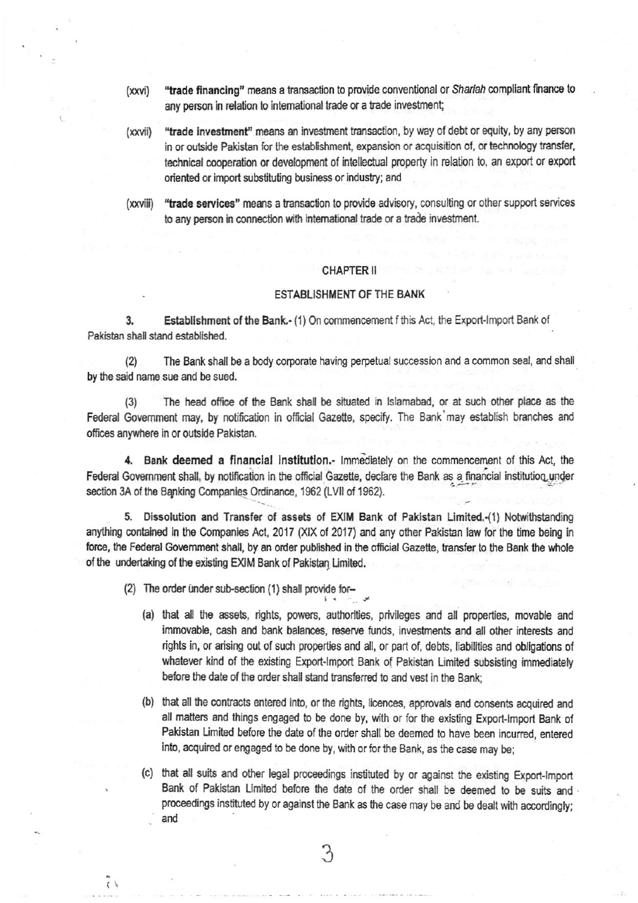- "trade financing" means a transaction to provide conventional or Shariah compliant finance to  $(xxvi)$ any person in relation to international trade or a trade investment;
- "trade investment" means an investment transaction, by way of debt or equity, by any person (xxvii) in or outside Pakistan for the establishment, expansion or acquisition of, or technology transfer, technical cooperation or development of intellectual property in relation to, an export or export oriented or import substituting business or industry; and
- "trade services" means a transaction to provide advisory, consulting or other support services (xxviii) to any person in connection with international trade or a trade investment.

#### **CHAPTER II**

### **ESTABLISHMENT OF THE BANK**

Establishment of the Bank.- (1) On commencement f this Act, the Export-Import Bank of 3. Pakistan shall stand established.

The Bank shall be a body corporate having perpetual succession and a common seal, and shall  $(2)$ by the said name sue and be sued.

The head office of the Bank shall be situated in Islamabad, or at such other place as the  $(3)$ Federal Government may, by notification in official Gazette, specify. The Bank may establish branches and offices anywhere in or outside Pakistan.

4. Bank deemed a financial institution.- Immediately on the commencement of this Act, the Federal Government shall, by notification in the official Gazette, declare the Bank as a financial institution under section 3A of the Banking Companies Ordinance, 1962 (LVII of 1962).

5. Dissolution and Transfer of assets of EXIM Bank of Pakistan Limited.-(1) Notwithstanding anything contained in the Companies Act, 2017 (XIX of 2017) and any other Pakistan law for the time being in force, the Federal Government shall, by an order published in the official Gazette, transfer to the Bank the whole of the undertaking of the existing EXIM Bank of Pakistan Limited.

(2) The order under sub-section (1) shall provide for-

 $\langle \ \rangle$ 

- (a) that all the assets, rights, powers, authorities, privileges and all properties, movable and immovable, cash and bank balances, reserve funds, investments and all other interests and rights in, or arising out of such properties and all, or part of, debts, liabilities and obligations of whatever kind of the existing Export-Import Bank of Pakistan Limited subsisting immediately before the date of the order shall stand transferred to and vest in the Bank:
- (b) that all the contracts entered into, or the rights, licences, approvals and consents acquired and all matters and things engaged to be done by, with or for the existing Export-Import Bank of Pakistan Limited before the date of the order shall be deemed to have been incurred, entered into, acquired or engaged to be done by, with or for the Bank, as the case may be;

(c) that all suits and other legal proceedings instituted by or against the existing Export-Import Bank of Pakistan Limited before the date of the order shall be deemed to be suits and proceedings instituted by or against the Bank as the case may be and be dealt with accordingly; and